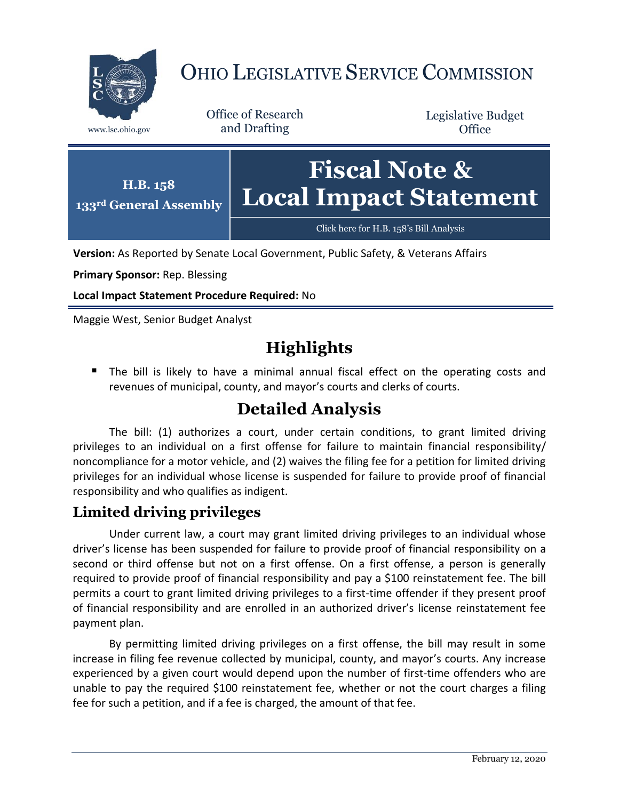

# OHIO LEGISLATIVE SERVICE COMMISSION

Office of Research www.lsc.ohio.gov and Drafting

Legislative Budget **Office** 



**Version:** As Reported by Senate Local Government, Public Safety, & Veterans Affairs

**Primary Sponsor:** Rep. Blessing

**Local Impact Statement Procedure Required:** No

Maggie West, Senior Budget Analyst

# **Highlights**

**The bill is likely to have a minimal annual fiscal effect on the operating costs and** revenues of municipal, county, and mayor's courts and clerks of courts.

## **Detailed Analysis**

The bill: (1) authorizes a court, under certain conditions, to grant limited driving privileges to an individual on a first offense for failure to maintain financial responsibility/ noncompliance for a motor vehicle, and (2) waives the filing fee for a petition for limited driving privileges for an individual whose license is suspended for failure to provide proof of financial responsibility and who qualifies as indigent.

#### **Limited driving privileges**

Under current law, a court may grant limited driving privileges to an individual whose driver's license has been suspended for failure to provide proof of financial responsibility on a second or third offense but not on a first offense. On a first offense, a person is generally required to provide proof of financial responsibility and pay a \$100 reinstatement fee. The bill permits a court to grant limited driving privileges to a first-time offender if they present proof of financial responsibility and are enrolled in an authorized driver's license reinstatement fee payment plan.

By permitting limited driving privileges on a first offense, the bill may result in some increase in filing fee revenue collected by municipal, county, and mayor's courts. Any increase experienced by a given court would depend upon the number of first-time offenders who are unable to pay the required \$100 reinstatement fee, whether or not the court charges a filing fee for such a petition, and if a fee is charged, the amount of that fee.